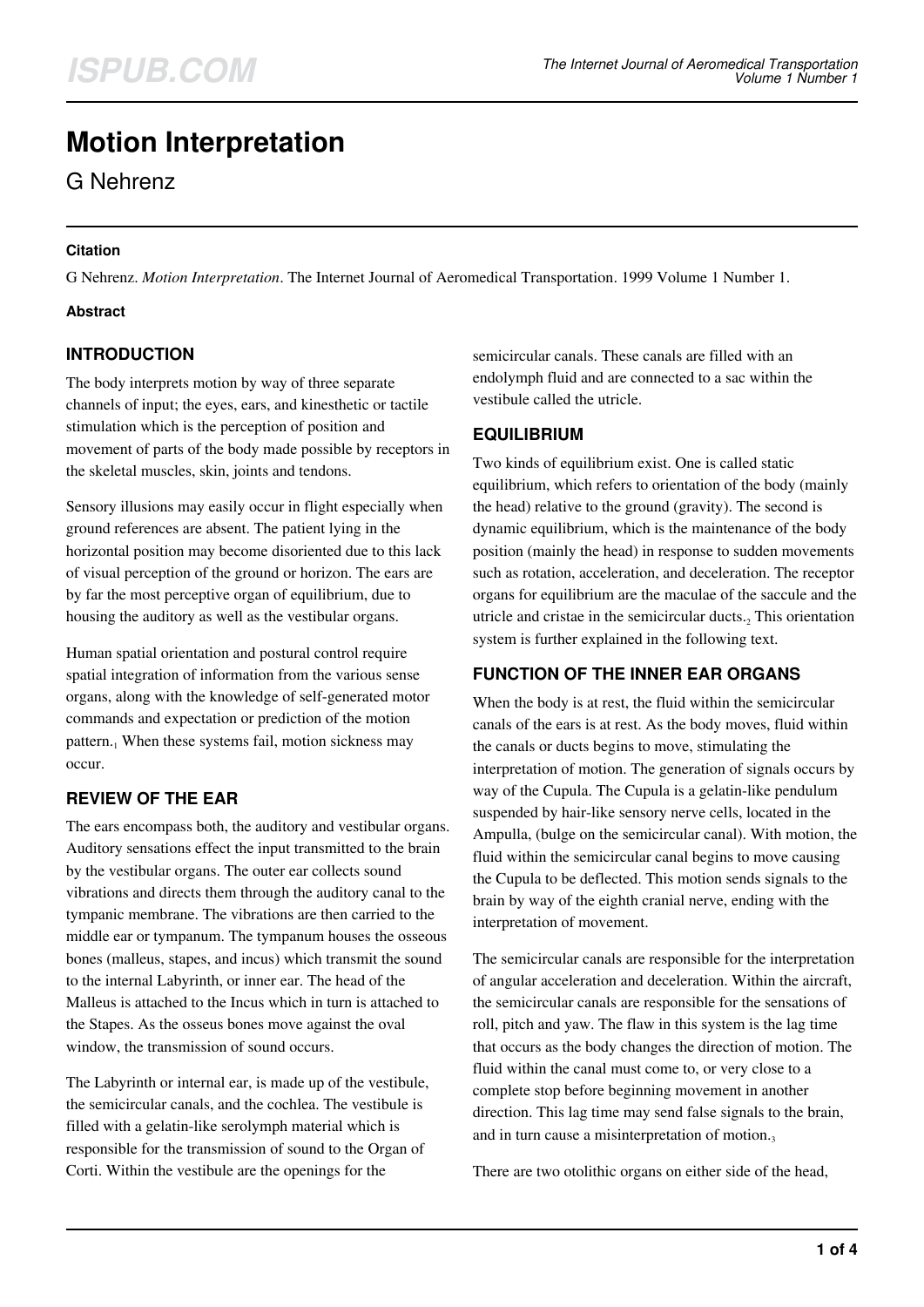# **Motion Interpretation**

G Nehrenz

#### **Citation**

G Nehrenz. *Motion Interpretation*. The Internet Journal of Aeromedical Transportation. 1999 Volume 1 Number 1.

### **Abstract**

## **INTRODUCTION**

The body interprets motion by way of three separate channels of input; the eyes, ears, and kinesthetic or tactile stimulation which is the perception of position and movement of parts of the body made possible by receptors in the skeletal muscles, skin, joints and tendons.

Sensory illusions may easily occur in flight especially when ground references are absent. The patient lying in the horizontal position may become disoriented due to this lack of visual perception of the ground or horizon. The ears are by far the most perceptive organ of equilibrium, due to housing the auditory as well as the vestibular organs.

Human spatial orientation and postural control require spatial integration of information from the various sense organs, along with the knowledge of self-generated motor commands and expectation or prediction of the motion pattern.<sub>1</sub> When these systems fail, motion sickness may occur.

## **REVIEW OF THE EAR**

The ears encompass both, the auditory and vestibular organs. Auditory sensations effect the input transmitted to the brain by the vestibular organs. The outer ear collects sound vibrations and directs them through the auditory canal to the tympanic membrane. The vibrations are then carried to the middle ear or tympanum. The tympanum houses the osseous bones (malleus, stapes, and incus) which transmit the sound to the internal Labyrinth, or inner ear. The head of the Malleus is attached to the Incus which in turn is attached to the Stapes. As the osseus bones move against the oval window, the transmission of sound occurs.

The Labyrinth or internal ear, is made up of the vestibule, the semicircular canals, and the cochlea. The vestibule is filled with a gelatin-like serolymph material which is responsible for the transmission of sound to the Organ of Corti. Within the vestibule are the openings for the

semicircular canals. These canals are filled with an endolymph fluid and are connected to a sac within the vestibule called the utricle.

## **EQUILIBRIUM**

Two kinds of equilibrium exist. One is called static equilibrium, which refers to orientation of the body (mainly the head) relative to the ground (gravity). The second is dynamic equilibrium, which is the maintenance of the body position (mainly the head) in response to sudden movements such as rotation, acceleration, and deceleration. The receptor organs for equilibrium are the maculae of the saccule and the utricle and cristae in the semicircular ducts. $_2$  This orientation system is further explained in the following text.

## **FUNCTION OF THE INNER EAR ORGANS**

When the body is at rest, the fluid within the semicircular canals of the ears is at rest. As the body moves, fluid within the canals or ducts begins to move, stimulating the interpretation of motion. The generation of signals occurs by way of the Cupula. The Cupula is a gelatin-like pendulum suspended by hair-like sensory nerve cells, located in the Ampulla, (bulge on the semicircular canal). With motion, the fluid within the semicircular canal begins to move causing the Cupula to be deflected. This motion sends signals to the brain by way of the eighth cranial nerve, ending with the interpretation of movement.

The semicircular canals are responsible for the interpretation of angular acceleration and deceleration. Within the aircraft, the semicircular canals are responsible for the sensations of roll, pitch and yaw. The flaw in this system is the lag time that occurs as the body changes the direction of motion. The fluid within the canal must come to, or very close to a complete stop before beginning movement in another direction. This lag time may send false signals to the brain, and in turn cause a misinterpretation of motion. $\frac{3}{2}$ 

There are two otolithic organs on either side of the head,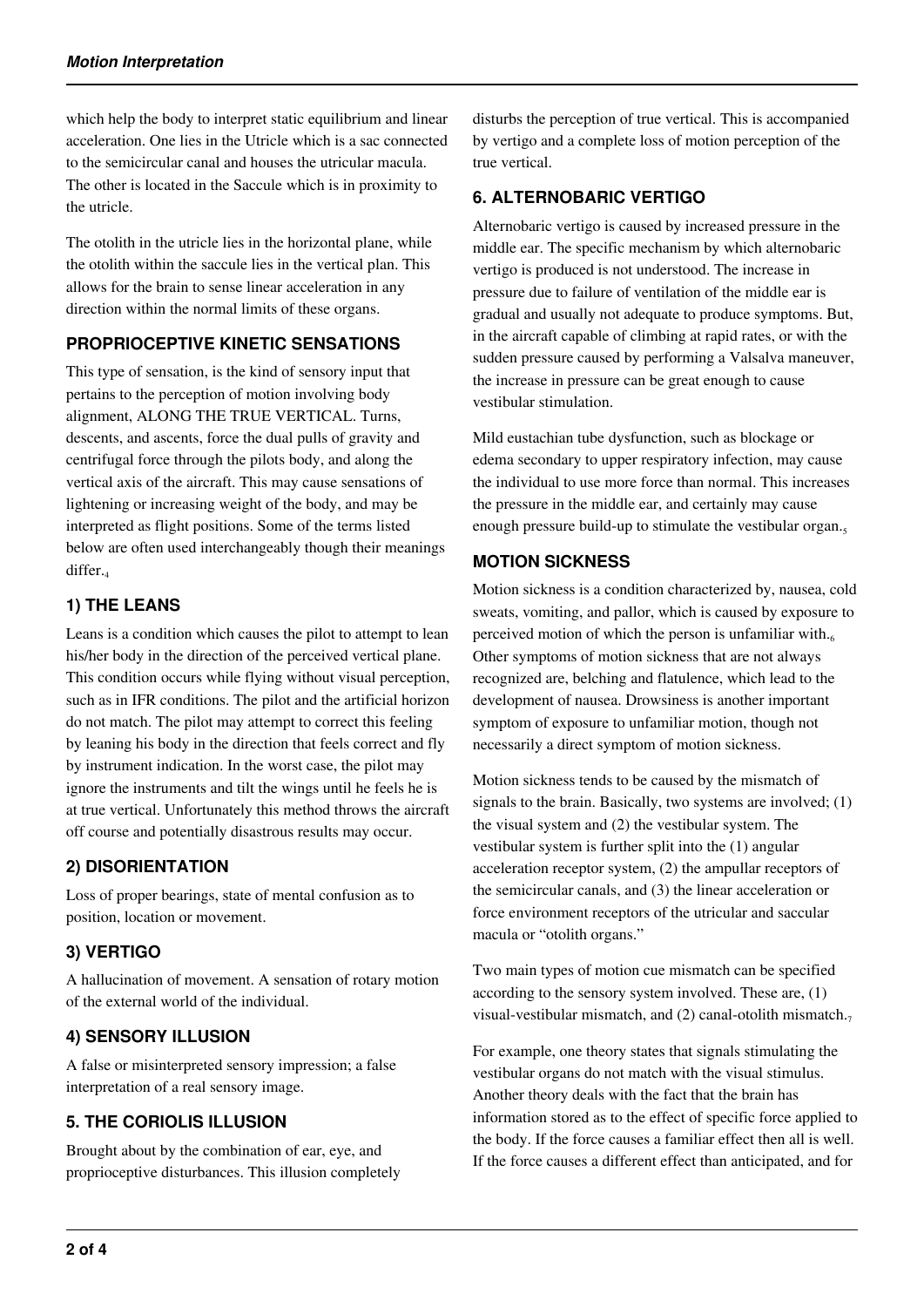which help the body to interpret static equilibrium and linear acceleration. One lies in the Utricle which is a sac connected to the semicircular canal and houses the utricular macula. The other is located in the Saccule which is in proximity to the utricle.

The otolith in the utricle lies in the horizontal plane, while the otolith within the saccule lies in the vertical plan. This allows for the brain to sense linear acceleration in any direction within the normal limits of these organs.

### **PROPRIOCEPTIVE KINETIC SENSATIONS**

This type of sensation, is the kind of sensory input that pertains to the perception of motion involving body alignment, ALONG THE TRUE VERTICAL. Turns, descents, and ascents, force the dual pulls of gravity and centrifugal force through the pilots body, and along the vertical axis of the aircraft. This may cause sensations of lightening or increasing weight of the body, and may be interpreted as flight positions. Some of the terms listed below are often used interchangeably though their meanings differ.

### **1) THE LEANS**

Leans is a condition which causes the pilot to attempt to lean his/her body in the direction of the perceived vertical plane. This condition occurs while flying without visual perception, such as in IFR conditions. The pilot and the artificial horizon do not match. The pilot may attempt to correct this feeling by leaning his body in the direction that feels correct and fly by instrument indication. In the worst case, the pilot may ignore the instruments and tilt the wings until he feels he is at true vertical. Unfortunately this method throws the aircraft off course and potentially disastrous results may occur.

## **2) DISORIENTATION**

Loss of proper bearings, state of mental confusion as to position, location or movement.

## **3) VERTIGO**

A hallucination of movement. A sensation of rotary motion of the external world of the individual.

## **4) SENSORY ILLUSION**

A false or misinterpreted sensory impression; a false interpretation of a real sensory image.

## **5. THE CORIOLIS ILLUSION**

Brought about by the combination of ear, eye, and proprioceptive disturbances. This illusion completely disturbs the perception of true vertical. This is accompanied by vertigo and a complete loss of motion perception of the true vertical.

### **6. ALTERNOBARIC VERTIGO**

Alternobaric vertigo is caused by increased pressure in the middle ear. The specific mechanism by which alternobaric vertigo is produced is not understood. The increase in pressure due to failure of ventilation of the middle ear is gradual and usually not adequate to produce symptoms. But, in the aircraft capable of climbing at rapid rates, or with the sudden pressure caused by performing a Valsalva maneuver, the increase in pressure can be great enough to cause vestibular stimulation.

Mild eustachian tube dysfunction, such as blockage or edema secondary to upper respiratory infection, may cause the individual to use more force than normal. This increases the pressure in the middle ear, and certainly may cause enough pressure build-up to stimulate the vestibular organ.

### **MOTION SICKNESS**

Motion sickness is a condition characterized by, nausea, cold sweats, vomiting, and pallor, which is caused by exposure to perceived motion of which the person is unfamiliar with. $66$ Other symptoms of motion sickness that are not always recognized are, belching and flatulence, which lead to the development of nausea. Drowsiness is another important symptom of exposure to unfamiliar motion, though not necessarily a direct symptom of motion sickness.

Motion sickness tends to be caused by the mismatch of signals to the brain. Basically, two systems are involved; (1) the visual system and (2) the vestibular system. The vestibular system is further split into the (1) angular acceleration receptor system, (2) the ampullar receptors of the semicircular canals, and (3) the linear acceleration or force environment receptors of the utricular and saccular macula or "otolith organs."

Two main types of motion cue mismatch can be specified according to the sensory system involved. These are, (1) visual-vestibular mismatch, and (2) canal-otolith mismatch. $<sub>7</sub>$ </sub>

For example, one theory states that signals stimulating the vestibular organs do not match with the visual stimulus. Another theory deals with the fact that the brain has information stored as to the effect of specific force applied to the body. If the force causes a familiar effect then all is well. If the force causes a different effect than anticipated, and for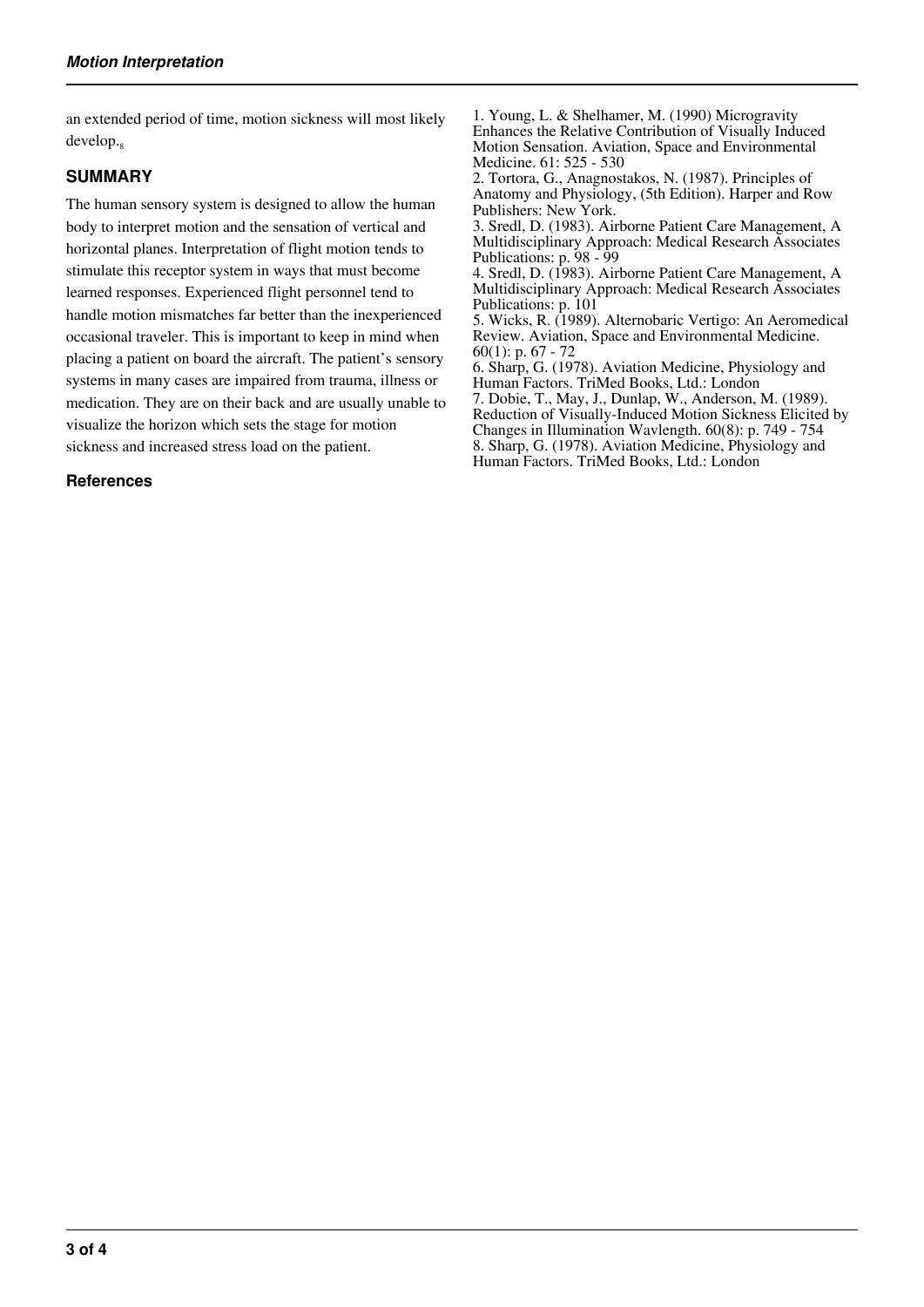an extended period of time, motion sickness will most likely develop.<sub>8</sub>

#### **SUMMARY**

The human sensory system is designed to allow the human body to interpret motion and the sensation of vertical and horizontal planes. Interpretation of flight motion tends to stimulate this receptor system in ways that must become learned responses. Experienced flight personnel tend to handle motion mismatches far better than the inexperienced occasional traveler. This is important to keep in mind when placing a patient on board the aircraft. The patient's sensory systems in many cases are impaired from trauma, illness or medication. They are on their back and are usually unable to visualize the horizon which sets the stage for motion sickness and increased stress load on the patient.

#### **References**

1. Young, L. & Shelhamer, M. (1990) Microgravity Enhances the Relative Contribution of Visually Induced Motion Sensation. Aviation, Space and Environmental Medicine. 61: 525 - 530

2. Tortora, G., Anagnostakos, N. (1987). Principles of Anatomy and Physiology, (5th Edition). Harper and Row Publishers: New York.

3. Sredl, D. (1983). Airborne Patient Care Management, A Multidisciplinary Approach: Medical Research Associates Publications: p. 98 - 99

4. Sredl, D. (1983). Airborne Patient Care Management, A Multidisciplinary Approach: Medical Research Associates Publications: p. 101

5. Wicks, R. (1989). Alternobaric Vertigo: An Aeromedical Review. Aviation, Space and Environmental Medicine.  $60(1)$ : p. 67 - 72

6. Sharp, G. (1978). Aviation Medicine, Physiology and Human Factors. TriMed Books, Ltd.: London 7. Dobie, T., May, J., Dunlap, W., Anderson, M. (1989).

Reduction of Visually-Induced Motion Sickness Elicited by Changes in Illumination Wavlength. 60(8): p. 749 - 754 8. Sharp, G. (1978). Aviation Medicine, Physiology and Human Factors. TriMed Books, Ltd.: London